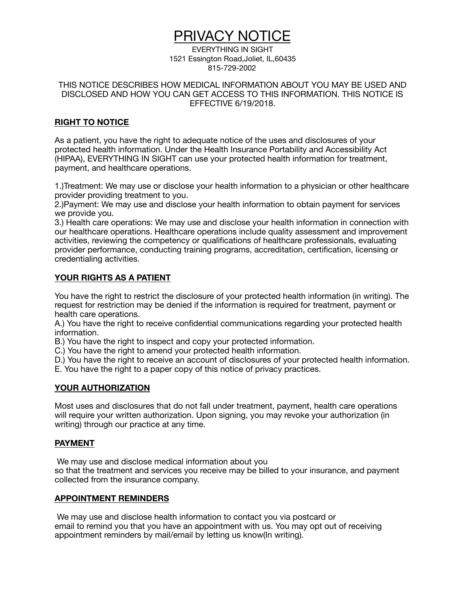# PRIVACY NOTICE

EVERYTHING IN SIGHT 1521 Essington Road,Joliet, IL,60435 815-729-2002

THIS NOTICE DESCRIBES HOW MEDICAL INFORMATION ABOUT YOU MAY BE USED AND DISCLOSED AND HOW YOU CAN GET ACCESS TO THIS INFORMATION. THIS NOTICE IS EFFECTIVE 6/19/2018.

# **RIGHT TO NOTICE**

As a patient, you have the right to adequate notice of the uses and disclosures of your protected health information. Under the Health Insurance Portability and Accessibility Act (HIPAA), EVERYTHING IN SIGHT can use your protected health information for treatment, payment, and healthcare operations.

1.)Treatment: We may use or disclose your health information to a physician or other healthcare provider providing treatment to you.

2.)Payment: We may use and disclose your health information to obtain payment for services we provide you.

3.) Health care operations: We may use and disclose your health information in connection with our healthcare operations. Healthcare operations include quality assessment and improvement activities, reviewing the competency or qualifications of healthcare professionals, evaluating provider performance, conducting training programs, accreditation, certification, licensing or credentialing activities.

# **YOUR RIGHTS AS A PATIENT**

You have the right to restrict the disclosure of your protected health information (in writing). The request for restriction may be denied if the information is required for treatment, payment or health care operations.

A.) You have the right to receive confidential communications regarding your protected health information.

B.) You have the right to inspect and copy your protected information.

C.) You have the right to amend your protected health information.

D.) You have the right to receive an account of disclosures of your protected health information.

E. You have the right to a paper copy of this notice of privacy practices.

## **YOUR AUTHORIZATION**

Most uses and disclosures that do not fall under treatment, payment, health care operations will require your written authorization. Upon signing, you may revoke your authorization (in writing) through our practice at any time.

#### **PAYMENT**

 We may use and disclose medical information about you so that the treatment and services you receive may be billed to your insurance, and payment collected from the insurance company.

#### **APPOINTMENT REMINDERS**

 We may use and disclose health information to contact you via postcard or email to remind you that you have an appointment with us. You may opt out of receiving appointment reminders by mail/email by letting us know(In writing).